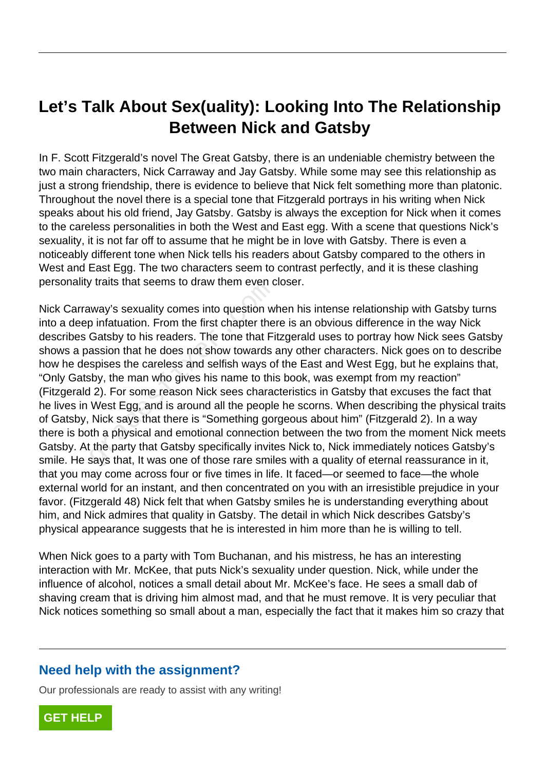# **Let's Talk About Sex(uality): Looking Into The Relationship Between Nick and Gatsby**

In F. Scott Fitzgerald's novel The Great Gatsby, there is an undeniable chemistry between the two main characters, Nick Carraway and Jay Gatsby. While some may see this relationship as just a strong friendship, there is evidence to believe that Nick felt something more than platonic. Throughout the novel there is a special tone that Fitzgerald portrays in his writing when Nick speaks about his old friend, Jay Gatsby. Gatsby is always the exception for Nick when it comes to the careless personalities in both the West and East egg. With a scene that questions Nick's sexuality, it is not far off to assume that he might be in love with Gatsby. There is even a noticeably different tone when Nick tells his readers about Gatsby compared to the others in West and East Egg. The two characters seem to contrast perfectly, and it is these clashing personality traits that seems to draw them even closer.

Nick Carraway's sexuality comes into question when his intense relationship with Gatsby turns into a deep infatuation. From the first chapter there is an obvious difference in the way Nick describes Gatsby to his readers. The tone that Fitzgerald uses to portray how Nick sees Gatsby shows a passion that he does not show towards any other characters. Nick goes on to describe how he despises the careless and selfish ways of the East and West Egg, but he explains that, "Only Gatsby, the man who gives his name to this book, was exempt from my reaction" (Fitzgerald 2). For some reason Nick sees characteristics in Gatsby that excuses the fact that he lives in West Egg, and is around all the people he scorns. When describing the physical traits of Gatsby, Nick says that there is "Something gorgeous about him" (Fitzgerald 2). In a way there is both a physical and emotional connection between the two from the moment Nick meets Gatsby. At the party that Gatsby specifically invites Nick to, Nick immediately notices Gatsby's smile. He says that, It was one of those rare smiles with a quality of eternal reassurance in it, that you may come across four or five times in life. It faced—or seemed to face—the whole external world for an instant, and then concentrated on you with an irresistible prejudice in your favor. (Fitzgerald 48) Nick felt that when Gatsby smiles he is understanding everything about him, and Nick admires that quality in Gatsby. The detail in which Nick describes Gatsby's physical appearance suggests that he is interested in him more than he is willing to tell. Trans that seems to draw them even compared to that seems to draw them even compared way's sexuality comes into question wo infatuation. From the first chapter the Gatsby to his readers. The tone that Fi assion that he doe

When Nick goes to a party with Tom Buchanan, and his mistress, he has an interesting interaction with Mr. McKee, that puts Nick's sexuality under question. Nick, while under the influence of alcohol, notices a small detail about Mr. McKee's face. He sees a small dab of shaving cream that is driving him almost mad, and that he must remove. It is very peculiar that Nick notices something so small about a man, especially the fact that it makes him so crazy that

# **Need help with the assignment?**

Our professionals are ready to assist with any writing!

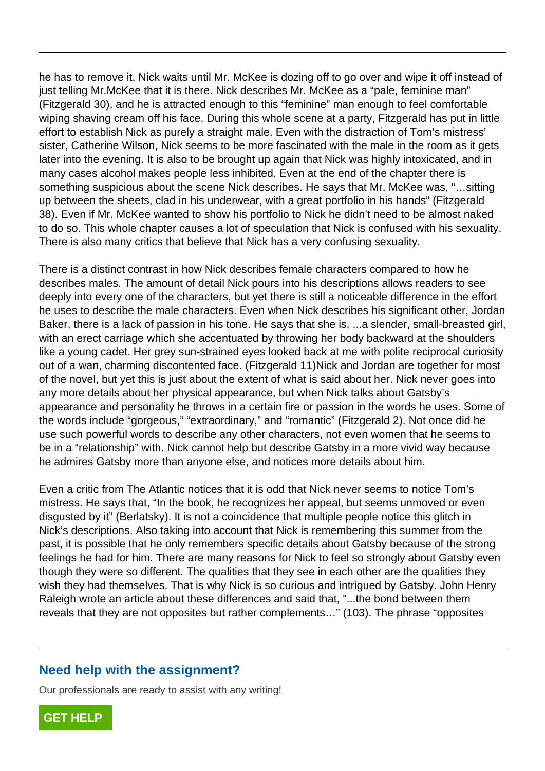he has to remove it. Nick waits until Mr. McKee is dozing off to go over and wipe it off instead of just telling Mr.McKee that it is there. Nick describes Mr. McKee as a "pale, feminine man" (Fitzgerald 30), and he is attracted enough to this "feminine" man enough to feel comfortable wiping shaving cream off his face. During this whole scene at a party, Fitzgerald has put in little effort to establish Nick as purely a straight male. Even with the distraction of Tom's mistress' sister, Catherine Wilson, Nick seems to be more fascinated with the male in the room as it gets later into the evening. It is also to be brought up again that Nick was highly intoxicated, and in many cases alcohol makes people less inhibited. Even at the end of the chapter there is something suspicious about the scene Nick describes. He says that Mr. McKee was, "…sitting up between the sheets, clad in his underwear, with a great portfolio in his hands" (Fitzgerald 38). Even if Mr. McKee wanted to show his portfolio to Nick he didn't need to be almost naked to do so. This whole chapter causes a lot of speculation that Nick is confused with his sexuality. There is also many critics that believe that Nick has a very confusing sexuality.

There is a distinct contrast in how Nick describes female characters compared to how he describes males. The amount of detail Nick pours into his descriptions allows readers to see deeply into every one of the characters, but yet there is still a noticeable difference in the effort he uses to describe the male characters. Even when Nick describes his significant other, Jordan Baker, there is a lack of passion in his tone. He says that she is, ...a slender, small-breasted girl, with an erect carriage which she accentuated by throwing her body backward at the shoulders like a young cadet. Her grey sun-strained eyes looked back at me with polite reciprocal curiosity out of a wan, charming discontented face. (Fitzgerald 11)Nick and Jordan are together for most of the novel, but yet this is just about the extent of what is said about her. Nick never goes into any more details about her physical appearance, but when Nick talks about Gatsby's appearance and personality he throws in a certain fire or passion in the words he uses. Some of the words include "gorgeous," "extraordinary," and "romantic" (Fitzgerald 2). Not once did he use such powerful words to describe any other characters, not even women that he seems to be in a "relationship" with. Nick cannot help but describe Gatsby in a more vivid way because he admires Gatsby more than anyone else, and notices more details about him. nales. The amount of detail Nick pours<br>above the characters, but yet the describe the male characters. Even w<br>re is a lack of passion in his tone. He s<br>ect carriage which she accentuated by<br>ig cadet. Her grey sun-strained

Even a critic from The Atlantic notices that it is odd that Nick never seems to notice Tom's mistress. He says that, "In the book, he recognizes her appeal, but seems unmoved or even disgusted by it" (Berlatsky). It is not a coincidence that multiple people notice this glitch in Nick's descriptions. Also taking into account that Nick is remembering this summer from the past, it is possible that he only remembers specific details about Gatsby because of the strong feelings he had for him. There are many reasons for Nick to feel so strongly about Gatsby even though they were so different. The qualities that they see in each other are the qualities they wish they had themselves. That is why Nick is so curious and intrigued by Gatsby. John Henry Raleigh wrote an article about these differences and said that, "...the bond between them reveals that they are not opposites but rather complements…" (103). The phrase "opposites

### **Need help with the assignment?**

Our professionals are ready to assist with any writing!

**[GET HELP](https://my.gradesfixer.com/order?utm_campaign=pdf_sample)**